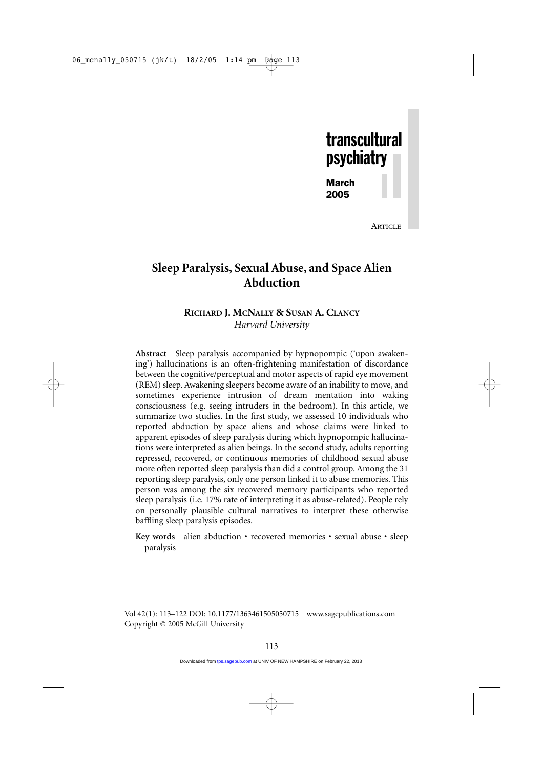

2005

**ARTICLE** 

# **Sleep Paralysis, Sexual Abuse, and Space Alien Abduction**

# **RICHARD J. MCNALLY & SUSAN A. CLANCY** *Harvard University*

**Abstract** Sleep paralysis accompanied by hypnopompic ('upon awakening') hallucinations is an often-frightening manifestation of discordance between the cognitive/perceptual and motor aspects of rapid eye movement (REM) sleep. Awakening sleepers become aware of an inability to move, and sometimes experience intrusion of dream mentation into waking consciousness (e.g. seeing intruders in the bedroom). In this article, we summarize two studies. In the first study, we assessed 10 individuals who reported abduction by space aliens and whose claims were linked to apparent episodes of sleep paralysis during which hypnopompic hallucinations were interpreted as alien beings. In the second study, adults reporting repressed, recovered, or continuous memories of childhood sexual abuse more often reported sleep paralysis than did a control group. Among the 31 reporting sleep paralysis, only one person linked it to abuse memories. This person was among the six recovered memory participants who reported sleep paralysis (i.e. 17% rate of interpreting it as abuse-related). People rely on personally plausible cultural narratives to interpret these otherwise baffling sleep paralysis episodes.

**Key words** alien abduction • recovered memories • sexual abuse • sleep paralysis

Vol 42(1): 113–122 DOI: 10.1177/1363461505050715 www.sagepublications.com Copyright © 2005 McGill University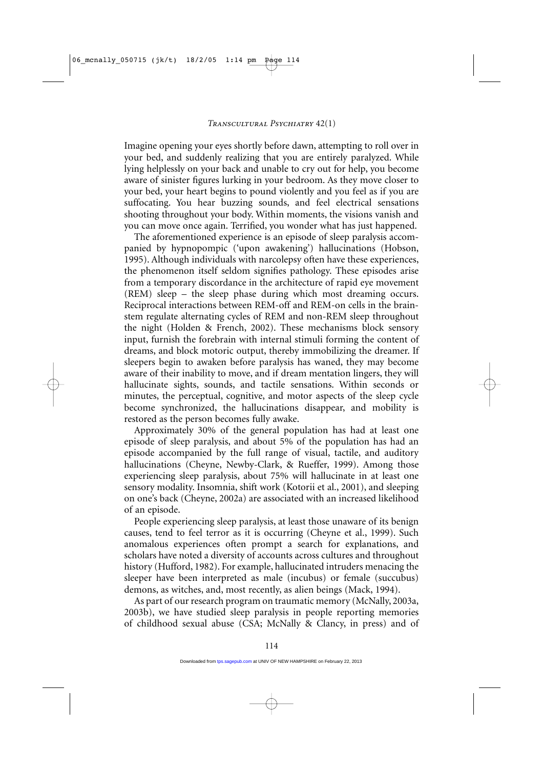Imagine opening your eyes shortly before dawn, attempting to roll over in your bed, and suddenly realizing that you are entirely paralyzed. While lying helplessly on your back and unable to cry out for help, you become aware of sinister figures lurking in your bedroom. As they move closer to your bed, your heart begins to pound violently and you feel as if you are suffocating. You hear buzzing sounds, and feel electrical sensations shooting throughout your body. Within moments, the visions vanish and you can move once again. Terrified, you wonder what has just happened.

The aforementioned experience is an episode of sleep paralysis accompanied by hypnopompic ('upon awakening') hallucinations (Hobson, 1995). Although individuals with narcolepsy often have these experiences, the phenomenon itself seldom signifies pathology. These episodes arise from a temporary discordance in the architecture of rapid eye movement (REM) sleep – the sleep phase during which most dreaming occurs. Reciprocal interactions between REM-off and REM-on cells in the brainstem regulate alternating cycles of REM and non-REM sleep throughout the night (Holden & French, 2002). These mechanisms block sensory input, furnish the forebrain with internal stimuli forming the content of dreams, and block motoric output, thereby immobilizing the dreamer. If sleepers begin to awaken before paralysis has waned, they may become aware of their inability to move, and if dream mentation lingers, they will hallucinate sights, sounds, and tactile sensations. Within seconds or minutes, the perceptual, cognitive, and motor aspects of the sleep cycle become synchronized, the hallucinations disappear, and mobility is restored as the person becomes fully awake.

Approximately 30% of the general population has had at least one episode of sleep paralysis, and about 5% of the population has had an episode accompanied by the full range of visual, tactile, and auditory hallucinations (Cheyne, Newby-Clark, & Rueffer, 1999). Among those experiencing sleep paralysis, about 75% will hallucinate in at least one sensory modality. Insomnia, shift work (Kotorii et al., 2001), and sleeping on one's back (Cheyne, 2002a) are associated with an increased likelihood of an episode.

People experiencing sleep paralysis, at least those unaware of its benign causes, tend to feel terror as it is occurring (Cheyne et al., 1999). Such anomalous experiences often prompt a search for explanations, and scholars have noted a diversity of accounts across cultures and throughout history (Hufford, 1982). For example, hallucinated intruders menacing the sleeper have been interpreted as male (incubus) or female (succubus) demons, as witches, and, most recently, as alien beings (Mack, 1994).

As part of our research program on traumatic memory (McNally, 2003a, 2003b), we have studied sleep paralysis in people reporting memories of childhood sexual abuse (CSA; McNally & Clancy, in press) and of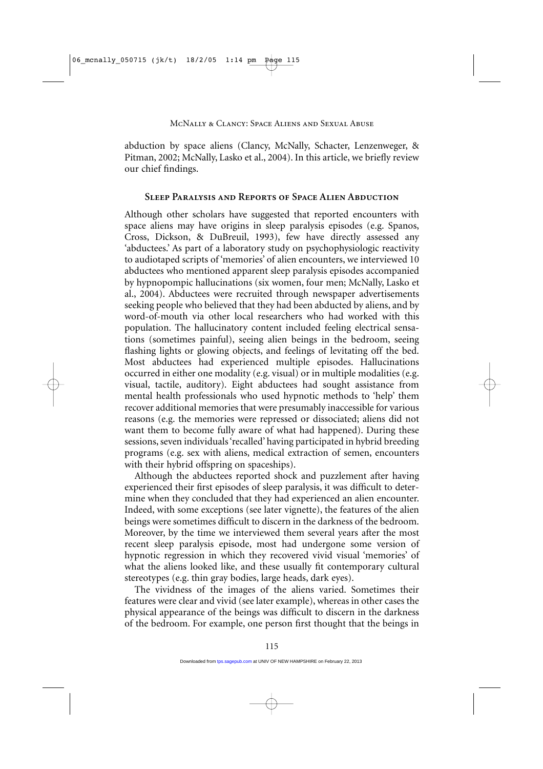abduction by space aliens (Clancy, McNally, Schacter, Lenzenweger, & Pitman, 2002; McNally, Lasko et al., 2004). In this article, we briefly review our chief findings.

## **Sleep Paralysis and Reports of Space Alien Abduction**

Although other scholars have suggested that reported encounters with space aliens may have origins in sleep paralysis episodes (e.g. Spanos, Cross, Dickson, & DuBreuil, 1993), few have directly assessed any 'abductees.' As part of a laboratory study on psychophysiologic reactivity to audiotaped scripts of 'memories' of alien encounters, we interviewed 10 abductees who mentioned apparent sleep paralysis episodes accompanied by hypnopompic hallucinations (six women, four men; McNally, Lasko et al., 2004). Abductees were recruited through newspaper advertisements seeking people who believed that they had been abducted by aliens, and by word-of-mouth via other local researchers who had worked with this population. The hallucinatory content included feeling electrical sensations (sometimes painful), seeing alien beings in the bedroom, seeing flashing lights or glowing objects, and feelings of levitating off the bed. Most abductees had experienced multiple episodes. Hallucinations occurred in either one modality (e.g. visual) or in multiple modalities (e.g. visual, tactile, auditory). Eight abductees had sought assistance from mental health professionals who used hypnotic methods to 'help' them recover additional memories that were presumably inaccessible for various reasons (e.g. the memories were repressed or dissociated; aliens did not want them to become fully aware of what had happened). During these sessions, seven individuals 'recalled' having participated in hybrid breeding programs (e.g. sex with aliens, medical extraction of semen, encounters with their hybrid offspring on spaceships).

Although the abductees reported shock and puzzlement after having experienced their first episodes of sleep paralysis, it was difficult to determine when they concluded that they had experienced an alien encounter. Indeed, with some exceptions (see later vignette), the features of the alien beings were sometimes difficult to discern in the darkness of the bedroom. Moreover, by the time we interviewed them several years after the most recent sleep paralysis episode, most had undergone some version of hypnotic regression in which they recovered vivid visual 'memories' of what the aliens looked like, and these usually fit contemporary cultural stereotypes (e.g. thin gray bodies, large heads, dark eyes).

The vividness of the images of the aliens varied. Sometimes their features were clear and vivid (see later example), whereas in other cases the physical appearance of the beings was difficult to discern in the darkness of the bedroom. For example, one person first thought that the beings in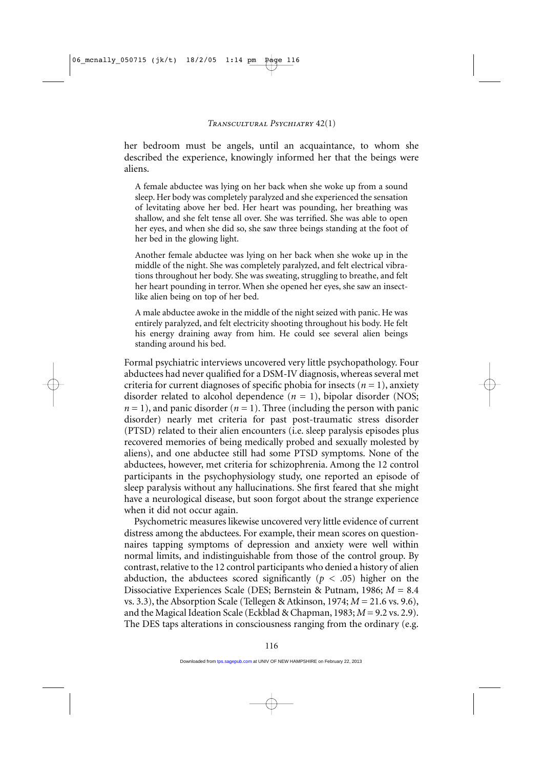her bedroom must be angels, until an acquaintance, to whom she described the experience, knowingly informed her that the beings were aliens.

A female abductee was lying on her back when she woke up from a sound sleep. Her body was completely paralyzed and she experienced the sensation of levitating above her bed. Her heart was pounding, her breathing was shallow, and she felt tense all over. She was terrified. She was able to open her eyes, and when she did so, she saw three beings standing at the foot of her bed in the glowing light.

Another female abductee was lying on her back when she woke up in the middle of the night. She was completely paralyzed, and felt electrical vibrations throughout her body. She was sweating, struggling to breathe, and felt her heart pounding in terror. When she opened her eyes, she saw an insectlike alien being on top of her bed.

A male abductee awoke in the middle of the night seized with panic. He was entirely paralyzed, and felt electricity shooting throughout his body. He felt his energy draining away from him. He could see several alien beings standing around his bed.

Formal psychiatric interviews uncovered very little psychopathology. Four abductees had never qualified for a DSM-IV diagnosis, whereas several met criteria for current diagnoses of specific phobia for insects  $(n = 1)$ , anxiety disorder related to alcohol dependence  $(n = 1)$ , bipolar disorder (NOS;  $n = 1$ ), and panic disorder ( $n = 1$ ). Three (including the person with panic disorder) nearly met criteria for past post-traumatic stress disorder (PTSD) related to their alien encounters (i.e. sleep paralysis episodes plus recovered memories of being medically probed and sexually molested by aliens), and one abductee still had some PTSD symptoms. None of the abductees, however, met criteria for schizophrenia. Among the 12 control participants in the psychophysiology study, one reported an episode of sleep paralysis without any hallucinations. She first feared that she might have a neurological disease, but soon forgot about the strange experience when it did not occur again.

Psychometric measures likewise uncovered very little evidence of current distress among the abductees. For example, their mean scores on questionnaires tapping symptoms of depression and anxiety were well within normal limits, and indistinguishable from those of the control group. By contrast, relative to the 12 control participants who denied a history of alien abduction, the abductees scored significantly ( $p < .05$ ) higher on the Dissociative Experiences Scale (DES; Bernstein & Putnam, 1986; *M* = 8.4 vs. 3.3), the Absorption Scale (Tellegen & Atkinson, 1974; *M* = 21.6 vs. 9.6), and the Magical Ideation Scale (Eckblad & Chapman, 1983; *M* = 9.2 vs. 2.9). The DES taps alterations in consciousness ranging from the ordinary (e.g.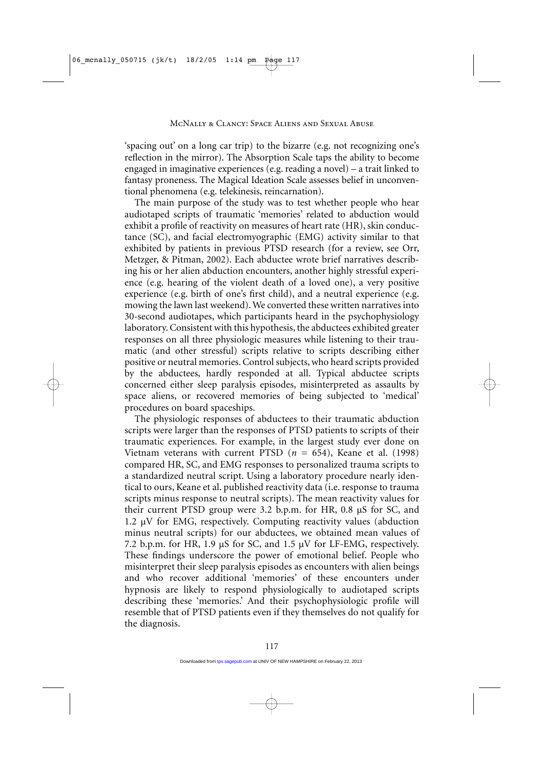'spacing out' on a long car trip) to the bizarre (e.g. not recognizing one's reflection in the mirror). The Absorption Scale taps the ability to become engaged in imaginative experiences (e.g. reading a novel) – a trait linked to fantasy proneness. The Magical Ideation Scale assesses belief in unconventional phenomena (e.g. telekinesis, reincarnation).

The main purpose of the study was to test whether people who hear audiotaped scripts of traumatic 'memories' related to abduction would exhibit a profile of reactivity on measures of heart rate (HR), skin conductance (SC), and facial electromyographic (EMG) activity similar to that exhibited by patients in previous PTSD research (for a review, see Orr, Metzger, & Pitman, 2002). Each abductee wrote brief narratives describing his or her alien abduction encounters, another highly stressful experience (e.g. hearing of the violent death of a loved one), a very positive experience (e.g. birth of one's first child), and a neutral experience (e.g. mowing the lawn last weekend). We converted these written narratives into 30-second audiotapes, which participants heard in the psychophysiology laboratory. Consistent with this hypothesis, the abductees exhibited greater responses on all three physiologic measures while listening to their traumatic (and other stressful) scripts relative to scripts describing either positive or neutral memories. Control subjects, who heard scripts provided by the abductees, hardly responded at all. Typical abductee scripts concerned either sleep paralysis episodes, misinterpreted as assaults by space aliens, or recovered memories of being subjected to 'medical' procedures on board spaceships.

The physiologic responses of abductees to their traumatic abduction scripts were larger than the responses of PTSD patients to scripts of their traumatic experiences. For example, in the largest study ever done on Vietnam veterans with current PTSD  $(n = 654)$ , Keane et al. (1998) compared HR, SC, and EMG responses to personalized trauma scripts to a standardized neutral script. Using a laboratory procedure nearly identical to ours, Keane et al. published reactivity data (i.e. response to trauma scripts minus response to neutral scripts). The mean reactivity values for their current PTSD group were 3.2 b.p.m. for HR, 0.8 µS for SC, and 1.2 µV for EMG, respectively. Computing reactivity values (abduction minus neutral scripts) for our abductees, we obtained mean values of 7.2 b.p.m. for HR, 1.9 µS for SC, and 1.5 µV for LF-EMG, respectively. These findings underscore the power of emotional belief. People who misinterpret their sleep paralysis episodes as encounters with alien beings and who recover additional 'memories' of these encounters under hypnosis are likely to respond physiologically to audiotaped scripts describing these 'memories.' And their psychophysiologic profile will resemble that of PTSD patients even if they themselves do not qualify for the diagnosis.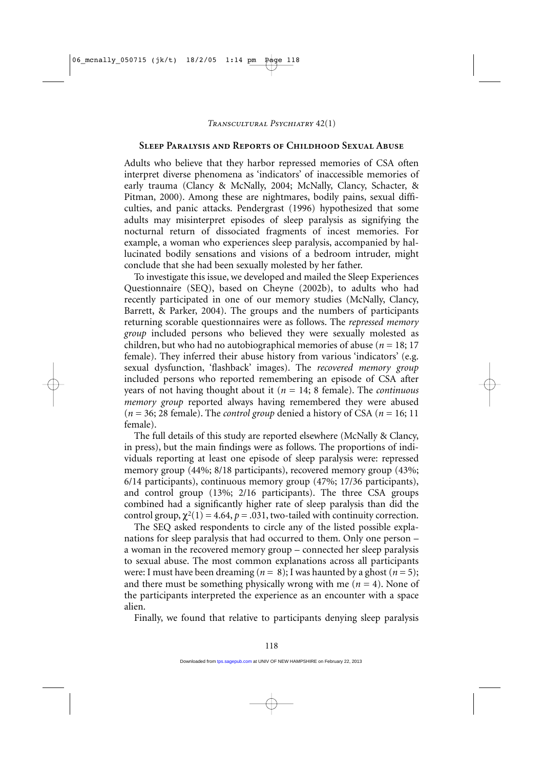## **Sleep Paralysis and Reports of Childhood Sexual Abuse**

Adults who believe that they harbor repressed memories of CSA often interpret diverse phenomena as 'indicators' of inaccessible memories of early trauma (Clancy & McNally, 2004; McNally, Clancy, Schacter, & Pitman, 2000). Among these are nightmares, bodily pains, sexual difficulties, and panic attacks. Pendergrast (1996) hypothesized that some adults may misinterpret episodes of sleep paralysis as signifying the nocturnal return of dissociated fragments of incest memories. For example, a woman who experiences sleep paralysis, accompanied by hallucinated bodily sensations and visions of a bedroom intruder, might conclude that she had been sexually molested by her father.

To investigate this issue, we developed and mailed the Sleep Experiences Questionnaire (SEQ), based on Cheyne (2002b), to adults who had recently participated in one of our memory studies (McNally, Clancy, Barrett, & Parker, 2004). The groups and the numbers of participants returning scorable questionnaires were as follows. The *repressed memory group* included persons who believed they were sexually molested as children, but who had no autobiographical memories of abuse ( $n = 18$ ; 17 female). They inferred their abuse history from various 'indicators' (e.g. sexual dysfunction, 'flashback' images). The *recovered memory group* included persons who reported remembering an episode of CSA after years of not having thought about it (*n* = 14; 8 female). The *continuous memory group* reported always having remembered they were abused  $(n = 36; 28$  female). The *control group* denied a history of CSA  $(n = 16; 11)$ female).

The full details of this study are reported elsewhere (McNally & Clancy, in press), but the main findings were as follows. The proportions of individuals reporting at least one episode of sleep paralysis were: repressed memory group (44%; 8/18 participants), recovered memory group (43%; 6/14 participants), continuous memory group (47%; 17/36 participants), and control group (13%; 2/16 participants). The three CSA groups combined had a significantly higher rate of sleep paralysis than did the control group,  $\chi^2(1) = 4.64$ ,  $p = .031$ , two-tailed with continuity correction.

The SEQ asked respondents to circle any of the listed possible explanations for sleep paralysis that had occurred to them. Only one person – a woman in the recovered memory group – connected her sleep paralysis to sexual abuse. The most common explanations across all participants were: I must have been dreaming ( $n = 8$ ); I was haunted by a ghost ( $n = 5$ ); and there must be something physically wrong with me  $(n = 4)$ . None of the participants interpreted the experience as an encounter with a space alien.

Finally, we found that relative to participants denying sleep paralysis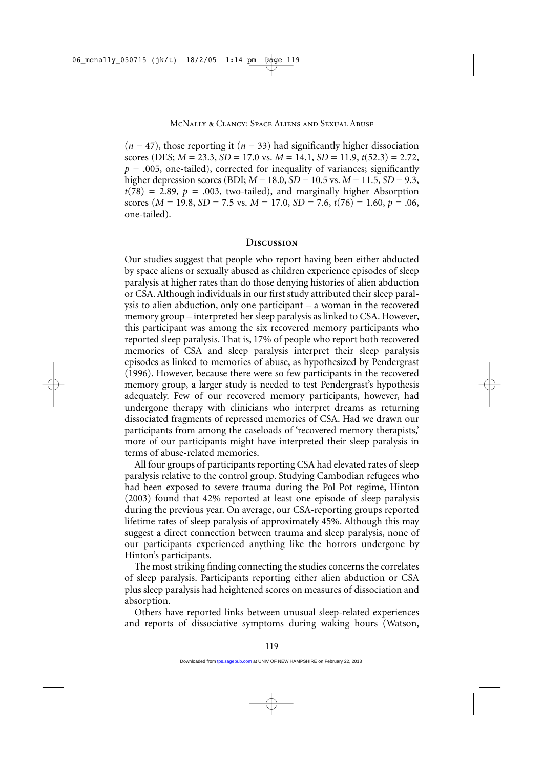(*n* = 47), those reporting it (*n* = 33) had significantly higher dissociation scores (DES; *M* = 23.3, *SD* = 17.0 vs. *M* = 14.1, *SD* = 11.9, *t*(52.3) = 2.72,  $p = .005$ , one-tailed), corrected for inequality of variances; significantly higher depression scores (BDI; *M* = 18.0, *SD* = 10.5 vs. *M* = 11.5, *SD* = 9.3,  $t(78) = 2.89$ ,  $p = .003$ , two-tailed), and marginally higher Absorption scores ( $M = 19.8$ ,  $SD = 7.5$  vs.  $M = 17.0$ ,  $SD = 7.6$ ,  $t(76) = 1.60$ ,  $p = .06$ , one-tailed).

#### **Discussion**

Our studies suggest that people who report having been either abducted by space aliens or sexually abused as children experience episodes of sleep paralysis at higher rates than do those denying histories of alien abduction or CSA. Although individuals in our first study attributed their sleep paralysis to alien abduction, only one participant – a woman in the recovered memory group – interpreted her sleep paralysis as linked to CSA. However, this participant was among the six recovered memory participants who reported sleep paralysis. That is, 17% of people who report both recovered memories of CSA and sleep paralysis interpret their sleep paralysis episodes as linked to memories of abuse, as hypothesized by Pendergrast (1996). However, because there were so few participants in the recovered memory group, a larger study is needed to test Pendergrast's hypothesis adequately. Few of our recovered memory participants, however, had undergone therapy with clinicians who interpret dreams as returning dissociated fragments of repressed memories of CSA. Had we drawn our participants from among the caseloads of 'recovered memory therapists,' more of our participants might have interpreted their sleep paralysis in terms of abuse-related memories.

All four groups of participants reporting CSA had elevated rates of sleep paralysis relative to the control group. Studying Cambodian refugees who had been exposed to severe trauma during the Pol Pot regime, Hinton (2003) found that 42% reported at least one episode of sleep paralysis during the previous year. On average, our CSA-reporting groups reported lifetime rates of sleep paralysis of approximately 45%. Although this may suggest a direct connection between trauma and sleep paralysis, none of our participants experienced anything like the horrors undergone by Hinton's participants.

The most striking finding connecting the studies concerns the correlates of sleep paralysis. Participants reporting either alien abduction or CSA plus sleep paralysis had heightened scores on measures of dissociation and absorption.

Others have reported links between unusual sleep-related experiences and reports of dissociative symptoms during waking hours (Watson,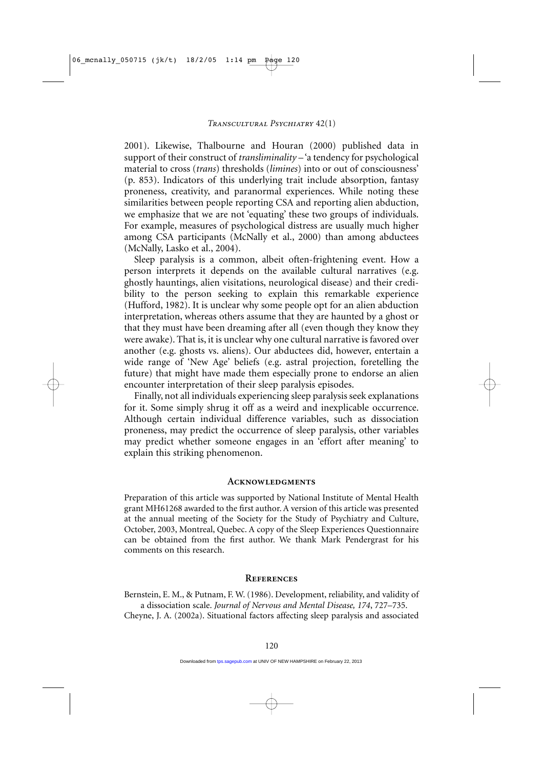2001). Likewise, Thalbourne and Houran (2000) published data in support of their construct of *transliminality* – 'a tendency for psychological material to cross (*trans*) thresholds (*limines*) into or out of consciousness' (p. 853). Indicators of this underlying trait include absorption, fantasy proneness, creativity, and paranormal experiences. While noting these similarities between people reporting CSA and reporting alien abduction, we emphasize that we are not 'equating' these two groups of individuals. For example, measures of psychological distress are usually much higher among CSA participants (McNally et al., 2000) than among abductees (McNally, Lasko et al., 2004).

Sleep paralysis is a common, albeit often-frightening event. How a person interprets it depends on the available cultural narratives (e.g. ghostly hauntings, alien visitations, neurological disease) and their credibility to the person seeking to explain this remarkable experience (Hufford, 1982). It is unclear why some people opt for an alien abduction interpretation, whereas others assume that they are haunted by a ghost or that they must have been dreaming after all (even though they know they were awake). That is, it is unclear why one cultural narrative is favored over another (e.g. ghosts vs. aliens). Our abductees did, however, entertain a wide range of 'New Age' beliefs (e.g. astral projection, foretelling the future) that might have made them especially prone to endorse an alien encounter interpretation of their sleep paralysis episodes.

Finally, not all individuals experiencing sleep paralysis seek explanations for it. Some simply shrug it off as a weird and inexplicable occurrence. Although certain individual difference variables, such as dissociation proneness, may predict the occurrence of sleep paralysis, other variables may predict whether someone engages in an 'effort after meaning' to explain this striking phenomenon.

### **Acknowledgments**

Preparation of this article was supported by National Institute of Mental Health grant MH61268 awarded to the first author. A version of this article was presented at the annual meeting of the Society for the Study of Psychiatry and Culture, October, 2003, Montreal, Quebec. A copy of the Sleep Experiences Questionnaire can be obtained from the first author. We thank Mark Pendergrast for his comments on this research.

#### **References**

Bernstein, E. M., & Putnam, F. W. (1986). Development, reliability, and validity of a dissociation scale. *Journal of Nervous and Mental Disease, 174*, 727–735. Cheyne, J. A. (2002a). Situational factors affecting sleep paralysis and associated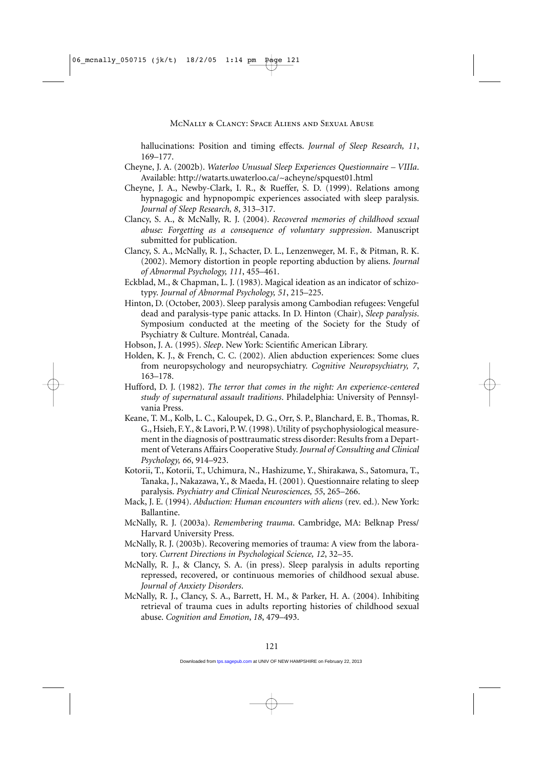hallucinations: Position and timing effects. *Journal of Sleep Research, 11*, 169–177.

- Cheyne, J. A. (2002b). *Waterloo Unusual Sleep Experiences Questionnaire VIIIa*. Available: http://watarts.uwaterloo.ca/~acheyne/spquest01.html
- Cheyne, J. A., Newby-Clark, I. R., & Rueffer, S. D. (1999). Relations among hypnagogic and hypnopompic experiences associated with sleep paralysis. *Journal of Sleep Research, 8*, 313–317.
- Clancy, S. A., & McNally, R. J. (2004). *Recovered memories of childhood sexual abuse: Forgetting as a consequence of voluntary suppression*. Manuscript submitted for publication.
- Clancy, S. A., McNally, R. J., Schacter, D. L., Lenzenweger, M. F., & Pitman, R. K. (2002). Memory distortion in people reporting abduction by aliens. *Journal of Abnormal Psychology, 111*, 455–461.
- Eckblad, M., & Chapman, L. J. (1983). Magical ideation as an indicator of schizotypy. *Journal of Abnormal Psychology, 51*, 215–225.
- Hinton, D. (October, 2003). Sleep paralysis among Cambodian refugees: Vengeful dead and paralysis-type panic attacks. In D. Hinton (Chair), *Sleep paralysis*. Symposium conducted at the meeting of the Society for the Study of Psychiatry & Culture. Montréal, Canada.
- Hobson, J. A. (1995). *Sleep*. New York: Scientific American Library.
- Holden, K. J., & French, C. C. (2002). Alien abduction experiences: Some clues from neuropsychology and neuropsychiatry. *Cognitive Neuropsychiatry, 7*, 163–178.
- Hufford, D. J. (1982). *The terror that comes in the night: An experience-centered study of supernatural assault traditions*. Philadelphia: University of Pennsylvania Press.
- Keane, T. M., Kolb, L. C., Kaloupek, D. G., Orr, S. P., Blanchard, E. B., Thomas, R. G., Hsieh, F. Y., & Lavori, P. W. (1998). Utility of psychophysiological measurement in the diagnosis of posttraumatic stress disorder: Results from a Department of Veterans Affairs Cooperative Study. *Journal of Consulting and Clinical Psychology, 66*, 914–923.
- Kotorii, T., Kotorii, T., Uchimura, N., Hashizume, Y., Shirakawa, S., Satomura, T., Tanaka, J., Nakazawa, Y., & Maeda, H. (2001). Questionnaire relating to sleep paralysis. *Psychiatry and Clinical Neurosciences, 55*, 265–266.
- Mack, J. E. (1994). *Abduction: Human encounters with aliens* (rev. ed.). New York: Ballantine.
- McNally, R. J. (2003a). *Remembering trauma*. Cambridge, MA: Belknap Press/ Harvard University Press.
- McNally, R. J. (2003b). Recovering memories of trauma: A view from the laboratory. *Current Directions in Psychological Science, 12*, 32–35.
- McNally, R. J., & Clancy, S. A. (in press). Sleep paralysis in adults reporting repressed, recovered, or continuous memories of childhood sexual abuse. *Journal of Anxiety Disorders*.
- McNally, R. J., Clancy, S. A., Barrett, H. M., & Parker, H. A. (2004). Inhibiting retrieval of trauma cues in adults reporting histories of childhood sexual abuse. *Cognition and Emotion*, *18*, 479–493.